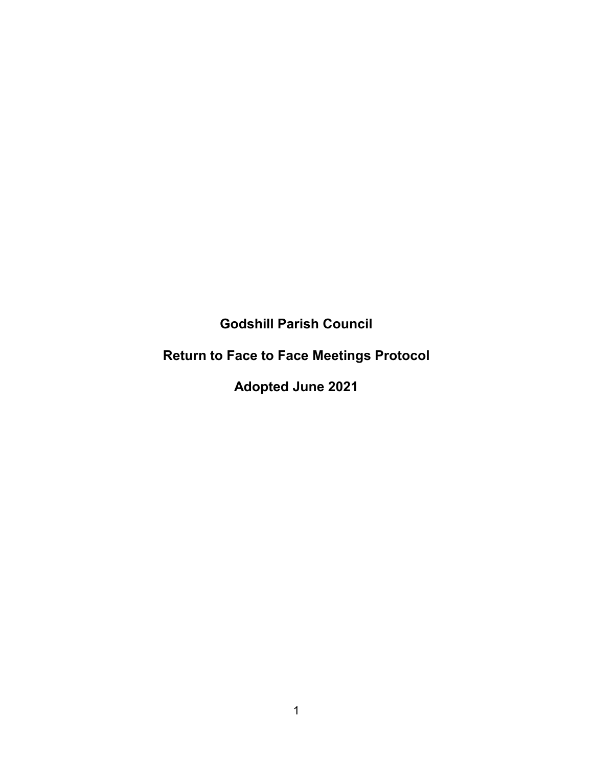**Godshill Parish Council**

# **Return to Face to Face Meetings Protocol**

**Adopted June 2021**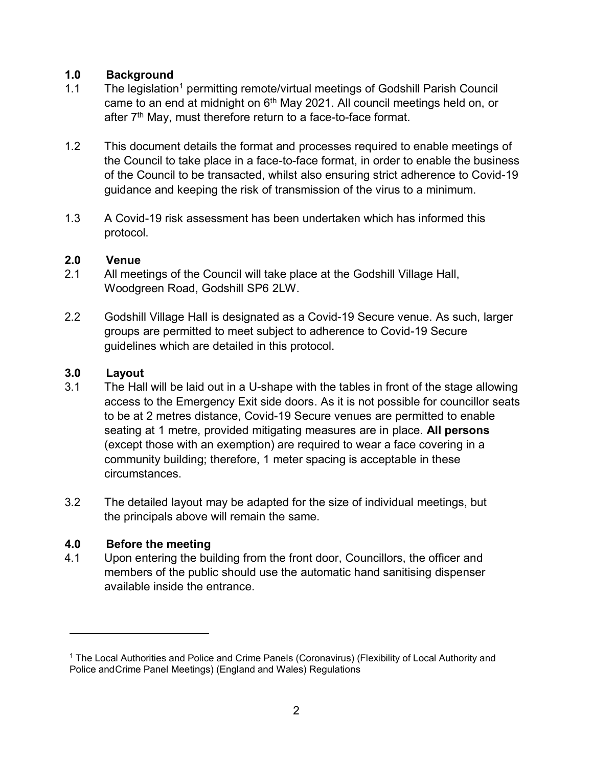## **1.0 Background**

- 1.1 The legislation<sup>1</sup> permitting remote/virtual meetings of Godshill Parish Council came to an end at midnight on  $6<sup>th</sup>$  May 2021. All council meetings held on, or after 7<sup>th</sup> May, must therefore return to a face-to-face format.
- 1.2 This document details the format and processes required to enable meetings of the Council to take place in a face-to-face format, in order to enable the business of the Council to be transacted, whilst also ensuring strict adherence to Covid-19 guidance and keeping the risk of transmission of the virus to a minimum.
- 1.3 A Covid-19 risk assessment has been undertaken which has informed this protocol.

## **2.0 Venue**

- 2.1 All meetings of the Council will take place at the Godshill Village Hall, Woodgreen Road, Godshill SP6 2LW.
- 2.2 Godshill Village Hall is designated as a Covid-19 Secure venue. As such, larger groups are permitted to meet subject to adherence to Covid-19 Secure guidelines which are detailed in this protocol.

# **3.0 Layout**

- 3.1 The Hall will be laid out in a U-shape with the tables in front of the stage allowing access to the Emergency Exit side doors. As it is not possible for councillor seats to be at 2 metres distance, Covid-19 Secure venues are permitted to enable seating at 1 metre, provided mitigating measures are in place. **All persons** (except those with an exemption) are required to wear a face covering in a community building; therefore, 1 meter spacing is acceptable in these circumstances.
- 3.2 The detailed layout may be adapted for the size of individual meetings, but the principals above will remain the same.

# **4.0 Before the meeting**

4.1 Upon entering the building from the front door, Councillors, the officer and members of the public should use the automatic hand sanitising dispenser available inside the entrance.

<sup>&</sup>lt;sup>1</sup> The Local Authorities and Police and Crime Panels (Coronavirus) (Flexibility of Local Authority and Police andCrime Panel Meetings) (England and Wales) Regulations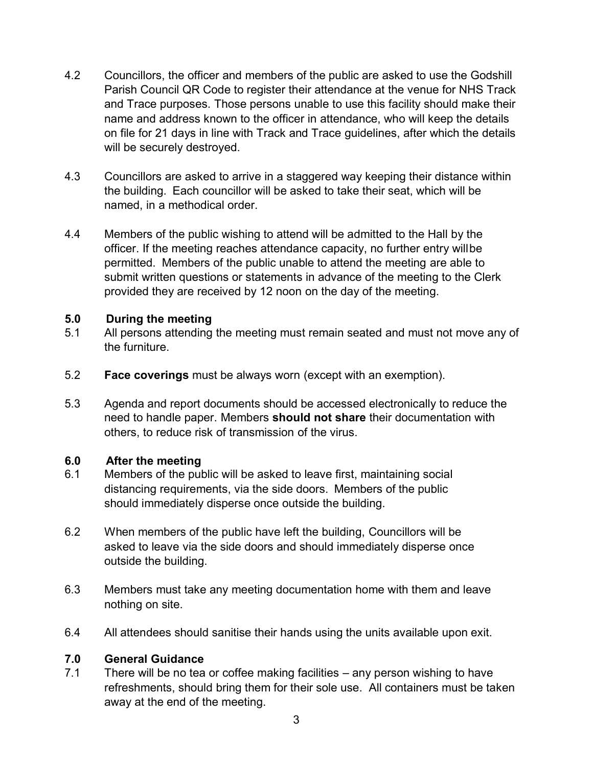- 4.2 Councillors, the officer and members of the public are asked to use the Godshill Parish Council QR Code to register their attendance at the venue for NHS Track and Trace purposes. Those persons unable to use this facility should make their name and address known to the officer in attendance, who will keep the details on file for 21 days in line with Track and Trace guidelines, after which the details will be securely destroyed.
- 4.3 Councillors are asked to arrive in a staggered way keeping their distance within the building. Each councillor will be asked to take their seat, which will be named, in a methodical order.
- 4.4 Members of the public wishing to attend will be admitted to the Hall by the officer. If the meeting reaches attendance capacity, no further entry willbe permitted. Members of the public unable to attend the meeting are able to submit written questions or statements in advance of the meeting to the Clerk provided they are received by 12 noon on the day of the meeting.

### **5.0 During the meeting**

- 5.1 All persons attending the meeting must remain seated and must not move any of the furniture.
- 5.2 **Face coverings** must be always worn (except with an exemption).
- 5.3 Agenda and report documents should be accessed electronically to reduce the need to handle paper. Members **should not share** their documentation with others, to reduce risk of transmission of the virus.

#### **6.0 After the meeting**

- 6.1 Members of the public will be asked to leave first, maintaining social distancing requirements, via the side doors. Members of the public should immediately disperse once outside the building.
- 6.2 When members of the public have left the building, Councillors will be asked to leave via the side doors and should immediately disperse once outside the building.
- 6.3 Members must take any meeting documentation home with them and leave nothing on site.
- 6.4 All attendees should sanitise their hands using the units available upon exit.

#### **7.0 General Guidance**

7.1 There will be no tea or coffee making facilities – any person wishing to have refreshments, should bring them for their sole use. All containers must be taken away at the end of the meeting.